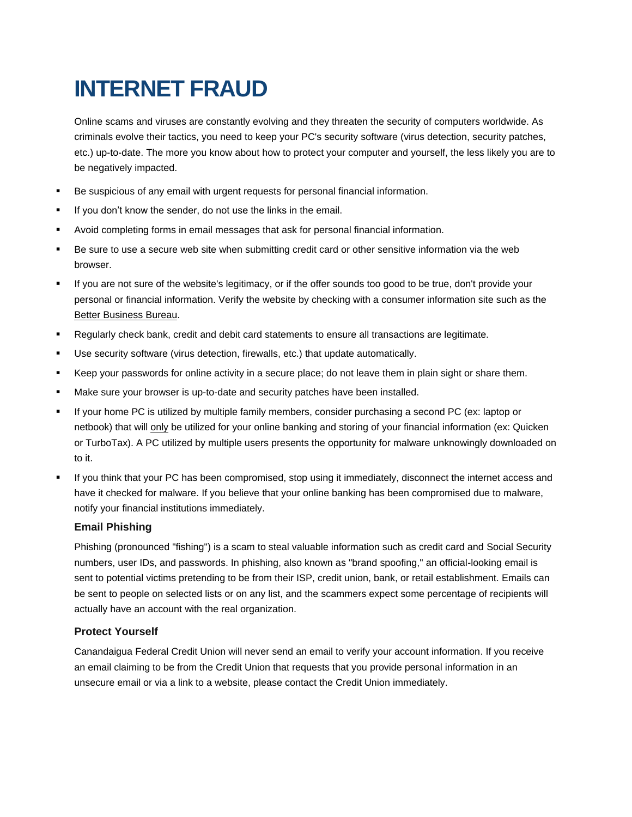# **INTERNET FRAUD**

Online scams and viruses are constantly evolving and they threaten the security of computers worldwide. As criminals evolve their tactics, you need to keep your PC's security software (virus detection, security patches, etc.) up-to-date. The more you know about how to protect your computer and yourself, the less likely you are to be negatively impacted.

- Be suspicious of any email with urgent requests for personal financial information.
- If you don't know the sender, do not use the links in the email.
- Avoid completing forms in email messages that ask for personal financial information.
- Be sure to use a secure web site when submitting credit card or other sensitive information via the web browser.
- If you are not sure of the website's legitimacy, or if the offer sounds too good to be true, don't provide your personal or financial information. Verify the website by checking with a consumer information site such as the Better Business Bureau.
- Regularly check bank, credit and debit card statements to ensure all transactions are legitimate.
- Use security software (virus detection, firewalls, etc.) that update automatically.
- Keep your passwords for online activity in a secure place; do not leave them in plain sight or share them.
- Make sure your browser is up-to-date and security patches have been installed.
- If your home PC is utilized by multiple family members, consider purchasing a second PC (ex: laptop or netbook) that will only be utilized for your online banking and storing of your financial information (ex: Quicken or TurboTax). A PC utilized by multiple users presents the opportunity for malware unknowingly downloaded on to it.
- If you think that your PC has been compromised, stop using it immediately, disconnect the internet access and have it checked for malware. If you believe that your online banking has been compromised due to malware, notify your financial institutions immediately.

### **Email Phishing**

Phishing (pronounced "fishing") is a scam to steal valuable information such as credit card and Social Security numbers, user IDs, and passwords. In phishing, also known as "brand spoofing," an official-looking email is sent to potential victims pretending to be from their ISP, credit union, bank, or retail establishment. Emails can be sent to people on selected lists or on any list, and the scammers expect some percentage of recipients will actually have an account with the real organization.

# **Protect Yourself**

Canandaigua Federal Credit Union will never send an email to verify your account information. If you receive an email claiming to be from the Credit Union that requests that you provide personal information in an unsecure email or via a link to a website, please contact the Credit Union immediately.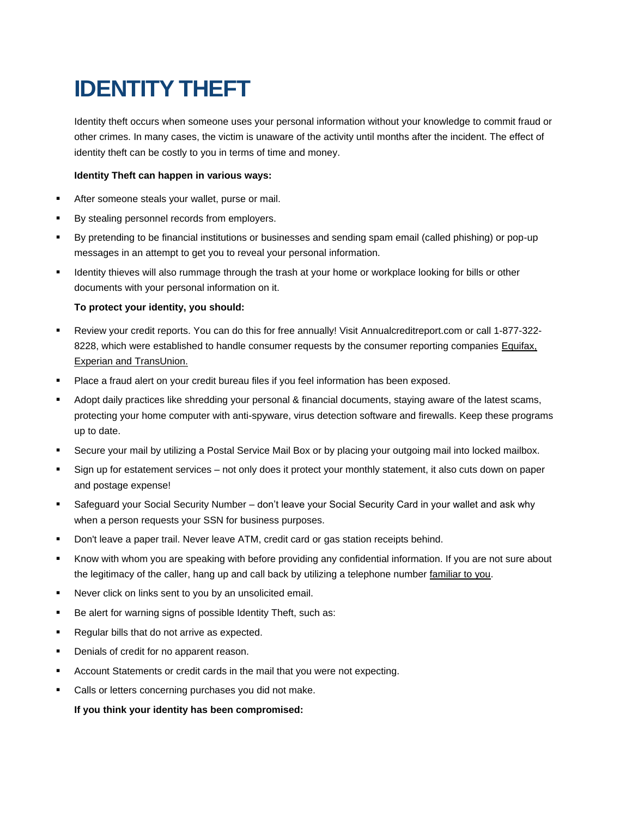# **IDENTITY THEFT**

Identity theft occurs when someone uses your personal information without your knowledge to commit fraud or other crimes. In many cases, the victim is unaware of the activity until months after the incident. The effect of identity theft can be costly to you in terms of time and money.

## **Identity Theft can happen in various ways:**

- After someone steals your wallet, purse or mail.
- By stealing personnel records from employers.
- By pretending to be financial institutions or businesses and sending spam email (called phishing) or pop-up messages in an attempt to get you to reveal your personal information.
- Identity thieves will also rummage through the trash at your home or workplace looking for bills or other documents with your personal information on it.

## **To protect your identity, you should:**

- Review your credit reports. You can do this for free annually! Visit Annualcreditreport.com or call 1-877-322- 8228, which were established to handle consumer requests by the consumer reporting companies Equifax, Experian and TransUnion.
- Place a fraud alert on your credit bureau files if you feel information has been exposed.
- Adopt daily practices like shredding your personal & financial documents, staying aware of the latest scams, protecting your home computer with anti-spyware, virus detection software and firewalls. Keep these programs up to date.
- Secure your mail by utilizing a Postal Service Mail Box or by placing your outgoing mail into locked mailbox.
- Sign up for estatement services not only does it protect your monthly statement, it also cuts down on paper and postage expense!
- Safeguard your Social Security Number don't leave your Social Security Card in your wallet and ask why when a person requests your SSN for business purposes.
- Don't leave a paper trail. Never leave ATM, credit card or gas station receipts behind.
- Know with whom you are speaking with before providing any confidential information. If you are not sure about the legitimacy of the caller, hang up and call back by utilizing a telephone number familiar to you.
- Never click on links sent to you by an unsolicited email.
- Be alert for warning signs of possible Identity Theft, such as:
- Regular bills that do not arrive as expected.
- Denials of credit for no apparent reason.
- Account Statements or credit cards in the mail that you were not expecting.
- **Calls or letters concerning purchases you did not make.**

**If you think your identity has been compromised:**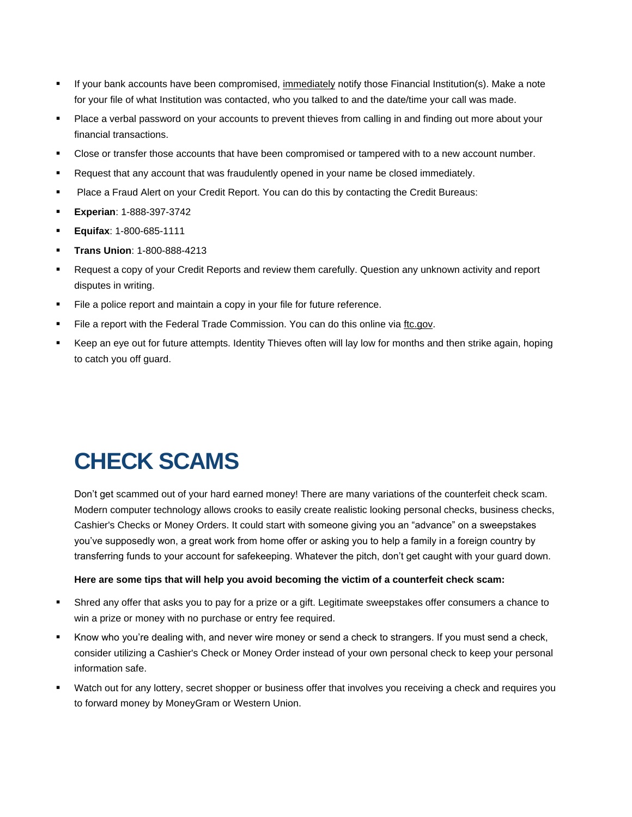- If your bank accounts have been compromised, immediately notify those Financial Institution(s). Make a note for your file of what Institution was contacted, who you talked to and the date/time your call was made.
- Place a verbal password on your accounts to prevent thieves from calling in and finding out more about your financial transactions.
- Close or transfer those accounts that have been compromised or tampered with to a new account number.
- Request that any account that was fraudulently opened in your name be closed immediately.
- **Place a Fraud Alert on your Credit Report. You can do this by contacting the Credit Bureaus:**
- **Experian**: 1-888-397-3742
- **Equifax**: 1-800-685-1111
- **Trans Union**: 1-800-888-4213
- Request a copy of your Credit Reports and review them carefully. Question any unknown activity and report disputes in writing.
- File a police report and maintain a copy in your file for future reference.
- File a report with the Federal Trade Commission. You can do this online via ftc.gov.
- Keep an eye out for future attempts. Identity Thieves often will lay low for months and then strike again, hoping to catch you off guard.

# **CHECK SCAMS**

Don't get scammed out of your hard earned money! There are many variations of the counterfeit check scam. Modern computer technology allows crooks to easily create realistic looking personal checks, business checks, Cashier's Checks or Money Orders. It could start with someone giving you an "advance" on a sweepstakes you've supposedly won, a great work from home offer or asking you to help a family in a foreign country by transferring funds to your account for safekeeping. Whatever the pitch, don't get caught with your guard down.

#### **Here are some tips that will help you avoid becoming the victim of a counterfeit check scam:**

- Shred any offer that asks you to pay for a prize or a gift. Legitimate sweepstakes offer consumers a chance to win a prize or money with no purchase or entry fee required.
- Know who you're dealing with, and never wire money or send a check to strangers. If you must send a check, consider utilizing a Cashier's Check or Money Order instead of your own personal check to keep your personal information safe.
- Watch out for any lottery, secret shopper or business offer that involves you receiving a check and requires you to forward money by MoneyGram or Western Union.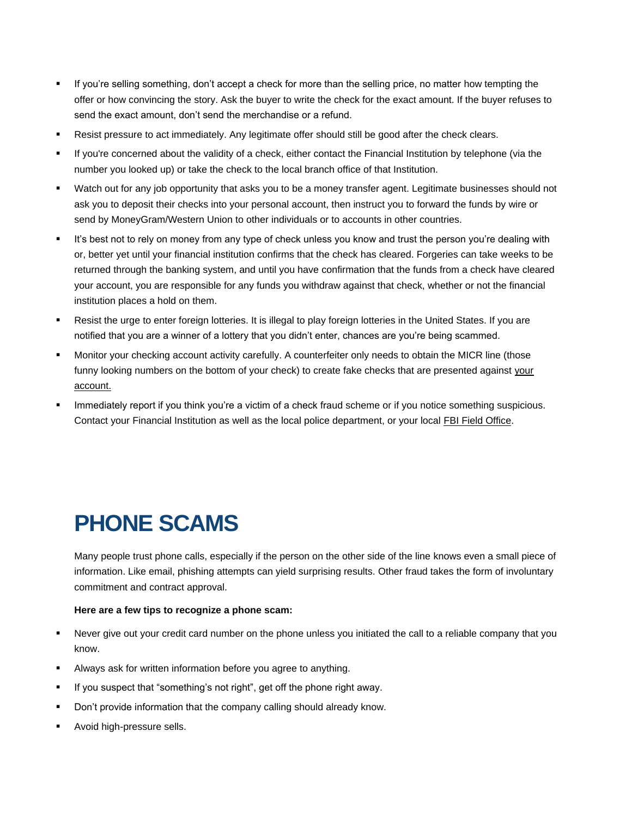- If you're selling something, don't accept a check for more than the selling price, no matter how tempting the offer or how convincing the story. Ask the buyer to write the check for the exact amount. If the buyer refuses to send the exact amount, don't send the merchandise or a refund.
- Resist pressure to act immediately. Any legitimate offer should still be good after the check clears.
- If you're concerned about the validity of a check, either contact the Financial Institution by telephone (via the number you looked up) or take the check to the local branch office of that Institution.
- Watch out for any job opportunity that asks you to be a money transfer agent. Legitimate businesses should not ask you to deposit their checks into your personal account, then instruct you to forward the funds by wire or send by MoneyGram/Western Union to other individuals or to accounts in other countries.
- It's best not to rely on money from any type of check unless you know and trust the person you're dealing with or, better yet until your financial institution confirms that the check has cleared. Forgeries can take weeks to be returned through the banking system, and until you have confirmation that the funds from a check have cleared your account, you are responsible for any funds you withdraw against that check, whether or not the financial institution places a hold on them.
- Resist the urge to enter foreign lotteries. It is illegal to play foreign lotteries in the United States. If you are notified that you are a winner of a lottery that you didn't enter, chances are you're being scammed.
- Monitor your checking account activity carefully. A counterfeiter only needs to obtain the MICR line (those funny looking numbers on the bottom of your check) to create fake checks that are presented against your account.
- Immediately report if you think you're a victim of a check fraud scheme or if you notice something suspicious. Contact your Financial Institution as well as the local police department, or your local FBI Field Office.

# **PHONE SCAMS**

Many people trust phone calls, especially if the person on the other side of the line knows even a small piece of information. Like email, phishing attempts can yield surprising results. Other fraud takes the form of involuntary commitment and contract approval.

### **Here are a few tips to recognize a phone scam:**

- Never give out your credit card number on the phone unless you initiated the call to a reliable company that you know.
- Always ask for written information before you agree to anything.
- If you suspect that "something's not right", get off the phone right away.
- Don't provide information that the company calling should already know.
- Avoid high-pressure sells.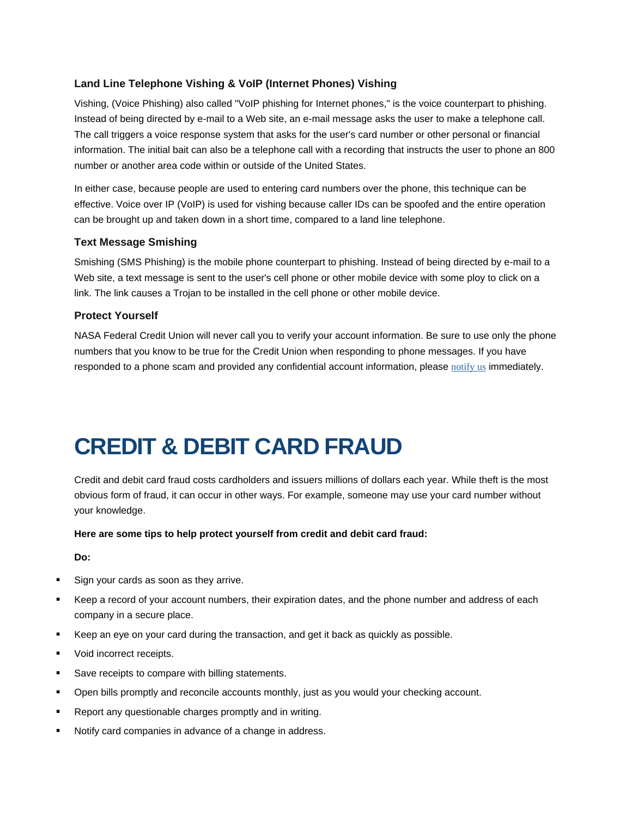# **Land Line Telephone Vishing & VoIP (Internet Phones) Vishing**

Vishing, (Voice Phishing) also called "VoIP phishing for Internet phones," is the voice counterpart to phishing. Instead of being directed by e-mail to a Web site, an e-mail message asks the user to make a telephone call. The call triggers a voice response system that asks for the user's card number or other personal or financial information. The initial bait can also be a telephone call with a recording that instructs the user to phone an 800 number or another area code within or outside of the United States.

In either case, because people are used to entering card numbers over the phone, this technique can be effective. Voice over IP (VoIP) is used for vishing because caller IDs can be spoofed and the entire operation can be brought up and taken down in a short time, compared to a land line telephone.

### **Text Message Smishing**

Smishing (SMS Phishing) is the mobile phone counterpart to phishing. Instead of being directed by e-mail to a Web site, a text message is sent to the user's cell phone or other mobile device with some ploy to click on a link. The link causes a Trojan to be installed in the cell phone or other mobile device.

## **Protect Yourself**

NASA Federal Credit Union will never call you to verify your account information. Be sure to use only the phone numbers that you know to be true for the Credit Union when responding to phone messages. If you have responded to a phone scam and provided any confidential account information, please [notify us](https://www.nasafcu.com/support-request/) immediately.

# **CREDIT & DEBIT CARD FRAUD**

Credit and debit card fraud costs cardholders and issuers millions of dollars each year. While theft is the most obvious form of fraud, it can occur in other ways. For example, someone may use your card number without your knowledge.

**Here are some tips to help protect yourself from credit and debit card fraud:**

**Do:**

- Sign your cards as soon as they arrive.
- Keep a record of your account numbers, their expiration dates, and the phone number and address of each company in a secure place.
- Keep an eye on your card during the transaction, and get it back as quickly as possible.
- **v** Void incorrect receipts.
- Save receipts to compare with billing statements.
- Open bills promptly and reconcile accounts monthly, just as you would your checking account.
- Report any questionable charges promptly and in writing.
- Notify card companies in advance of a change in address.